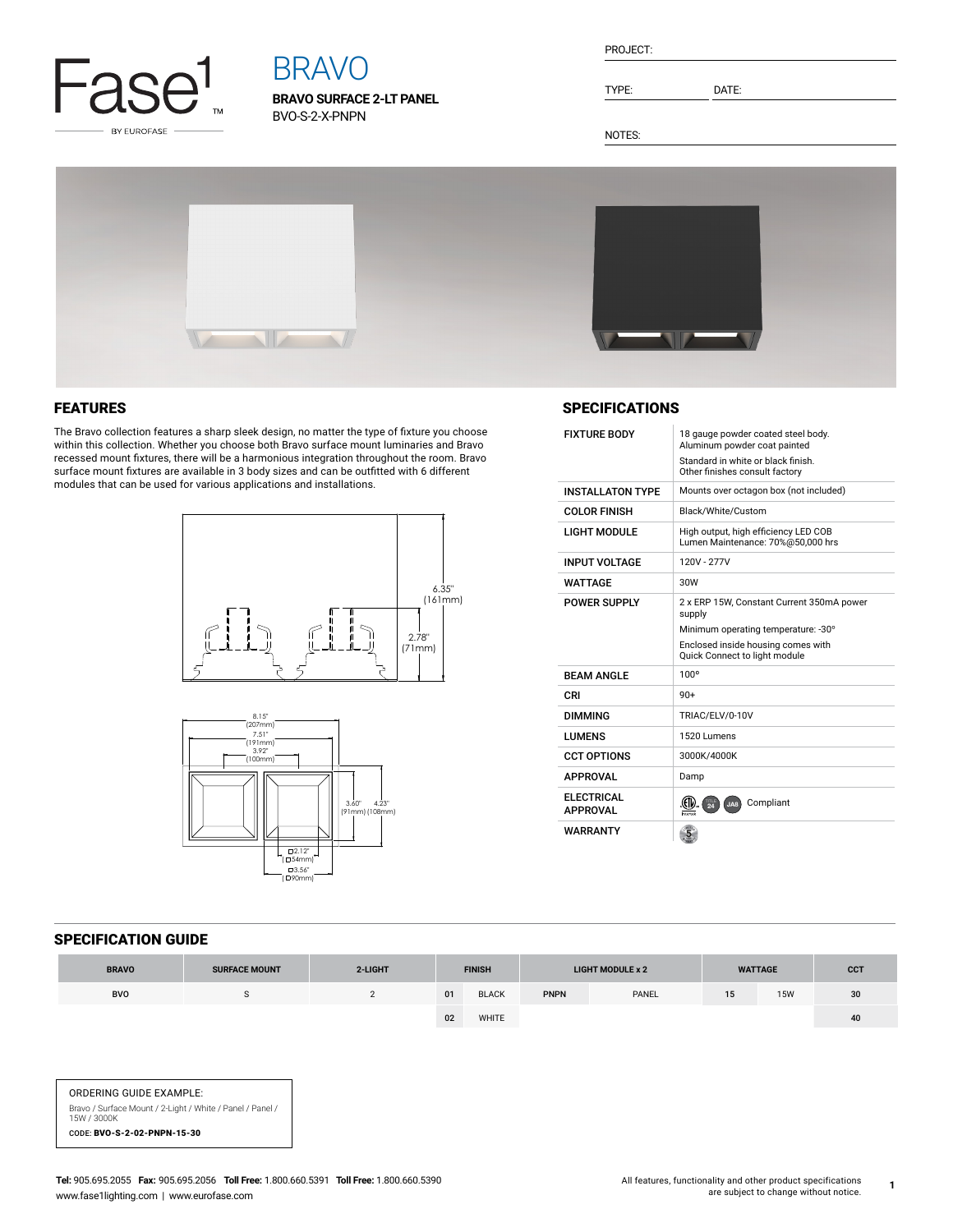

# BRAVO

**BRAVO SURFACE 2-LT PANEL** BVO-S-2-X-PNPN

| PROJECT: |  |
|----------|--|
|          |  |

TYPE: DATE:

NOTES:



## FEATURES

The Bravo collection features a sharp sleek design, no matter the type of fixture you choose within this collection. Whether you choose both Bravo surface mount luminaries and Bravo recessed mount fixtures, there will be a harmonious integration throughout the room. Bravo surface mount fixtures are available in 3 body sizes and can be outfitted with 6 different modules that can be used for various applications and installations.





#### **SPECIFICATIONS**

| <b>FIXTURE BODY</b>                  | 18 gauge powder coated steel body.<br>Aluminum powder coat painted<br>Standard in white or black finish<br>Other finishes consult factory                         |  |  |  |  |
|--------------------------------------|-------------------------------------------------------------------------------------------------------------------------------------------------------------------|--|--|--|--|
| <b>INSTALL ATON TYPE</b>             | Mounts over octagon box (not included)                                                                                                                            |  |  |  |  |
| <b>COLOR FINISH</b>                  | Black/White/Custom                                                                                                                                                |  |  |  |  |
| <b>LIGHT MODULE</b>                  | High output, high efficiency LED COB<br>Lumen Maintenance: 70%@50,000 hrs                                                                                         |  |  |  |  |
| <b>INPUT VOLTAGE</b>                 | 120V - 277V                                                                                                                                                       |  |  |  |  |
| WATTAGF                              | 30W                                                                                                                                                               |  |  |  |  |
| POWER SUPPLY                         | 2 x ERP 15W, Constant Current 350mA power<br>supply<br>Minimum operating temperature: -30°<br>Enclosed inside housing comes with<br>Quick Connect to light module |  |  |  |  |
| <b>BFAM ANGLF</b>                    | 100°                                                                                                                                                              |  |  |  |  |
| CRI                                  | $90+$                                                                                                                                                             |  |  |  |  |
| <b>DIMMING</b>                       | TRIAC/ELV/0-10V                                                                                                                                                   |  |  |  |  |
| <b>I UMFNS</b>                       | 1520 Lumens                                                                                                                                                       |  |  |  |  |
| <b>CCT OPTIONS</b>                   | 3000K/4000K                                                                                                                                                       |  |  |  |  |
| <b>APPROVAL</b>                      | Damp                                                                                                                                                              |  |  |  |  |
| <b>ELECTRICAL</b><br><b>APPROVAL</b> | Compliant<br>$\overline{24}$<br>JA8                                                                                                                               |  |  |  |  |
| <b>WARRANTY</b>                      |                                                                                                                                                                   |  |  |  |  |

#### SPECIFICATION GUIDE

| <b>BRAVO</b> | <b>SURFACE MOUNT</b> | 2-LIGHT | <b>FINISH</b> |              |             |       |    | <b>LIGHT MODULE x 2</b> |    | <b>WATTAGE</b> | <b>CCT</b> |
|--------------|----------------------|---------|---------------|--------------|-------------|-------|----|-------------------------|----|----------------|------------|
| <b>BVO</b>   |                      |         | 01            | <b>BLACK</b> | <b>PNPN</b> | PANEL | 15 | <b>15W</b>              | 30 |                |            |
|              |                      |         | 02            | <b>WHITE</b> |             |       |    |                         | 40 |                |            |

ORDERING GUIDE EXAMPLE: Bravo / Surface Mount / 2-Light / White / Panel / Panel / 15W / 3000K CODE: BVO-S-2-02-PNPN-15-30

**1**